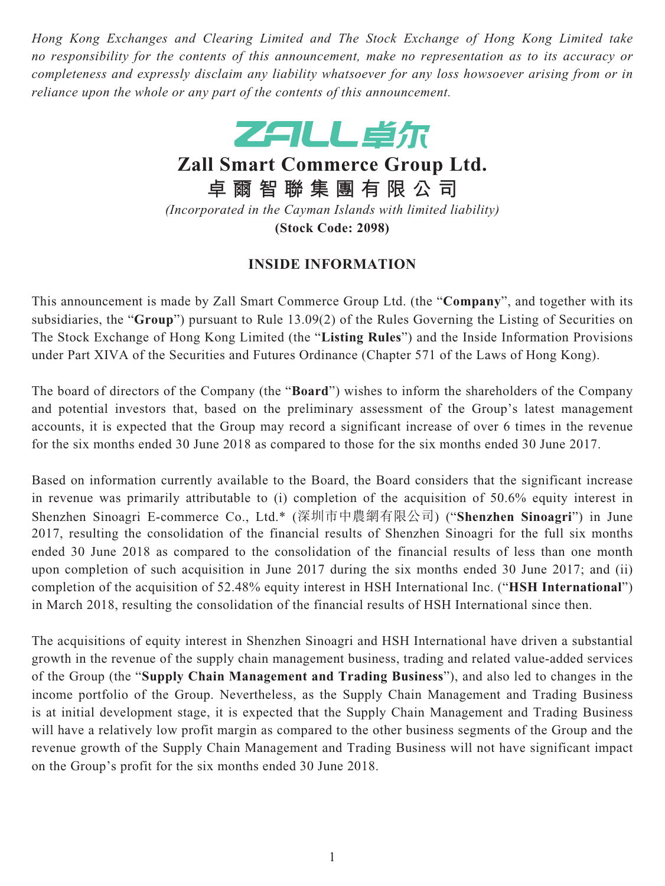*Hong Kong Exchanges and Clearing Limited and The Stock Exchange of Hong Kong Limited take no responsibility for the contents of this announcement, make no representation as to its accuracy or completeness and expressly disclaim any liability whatsoever for any loss howsoever arising from or in reliance upon the whole or any part of the contents of this announcement.*



**Zall Smart Commerce Group Ltd.**

**卓爾智聯集團有限公司**

*(Incorporated in the Cayman Islands with limited liability)* **(Stock Code: 2098)**

## **INSIDE INFORMATION**

This announcement is made by Zall Smart Commerce Group Ltd. (the "**Company**", and together with its subsidiaries, the "**Group**") pursuant to Rule 13.09(2) of the Rules Governing the Listing of Securities on The Stock Exchange of Hong Kong Limited (the "**Listing Rules**") and the Inside Information Provisions under Part XIVA of the Securities and Futures Ordinance (Chapter 571 of the Laws of Hong Kong).

The board of directors of the Company (the "**Board**") wishes to inform the shareholders of the Company and potential investors that, based on the preliminary assessment of the Group's latest management accounts, it is expected that the Group may record a significant increase of over 6 times in the revenue for the six months ended 30 June 2018 as compared to those for the six months ended 30 June 2017.

Based on information currently available to the Board, the Board considers that the significant increase in revenue was primarily attributable to (i) completion of the acquisition of 50.6% equity interest in Shenzhen Sinoagri E-commerce Co., Ltd.\* (深圳市中農網有限公司) ("**Shenzhen Sinoagri**") in June 2017, resulting the consolidation of the financial results of Shenzhen Sinoagri for the full six months ended 30 June 2018 as compared to the consolidation of the financial results of less than one month upon completion of such acquisition in June 2017 during the six months ended 30 June 2017; and (ii) completion of the acquisition of 52.48% equity interest in HSH International Inc. ("**HSH International**") in March 2018, resulting the consolidation of the financial results of HSH International since then.

The acquisitions of equity interest in Shenzhen Sinoagri and HSH International have driven a substantial growth in the revenue of the supply chain management business, trading and related value-added services of the Group (the "**Supply Chain Management and Trading Business**"), and also led to changes in the income portfolio of the Group. Nevertheless, as the Supply Chain Management and Trading Business is at initial development stage, it is expected that the Supply Chain Management and Trading Business will have a relatively low profit margin as compared to the other business segments of the Group and the revenue growth of the Supply Chain Management and Trading Business will not have significant impact on the Group's profit for the six months ended 30 June 2018.